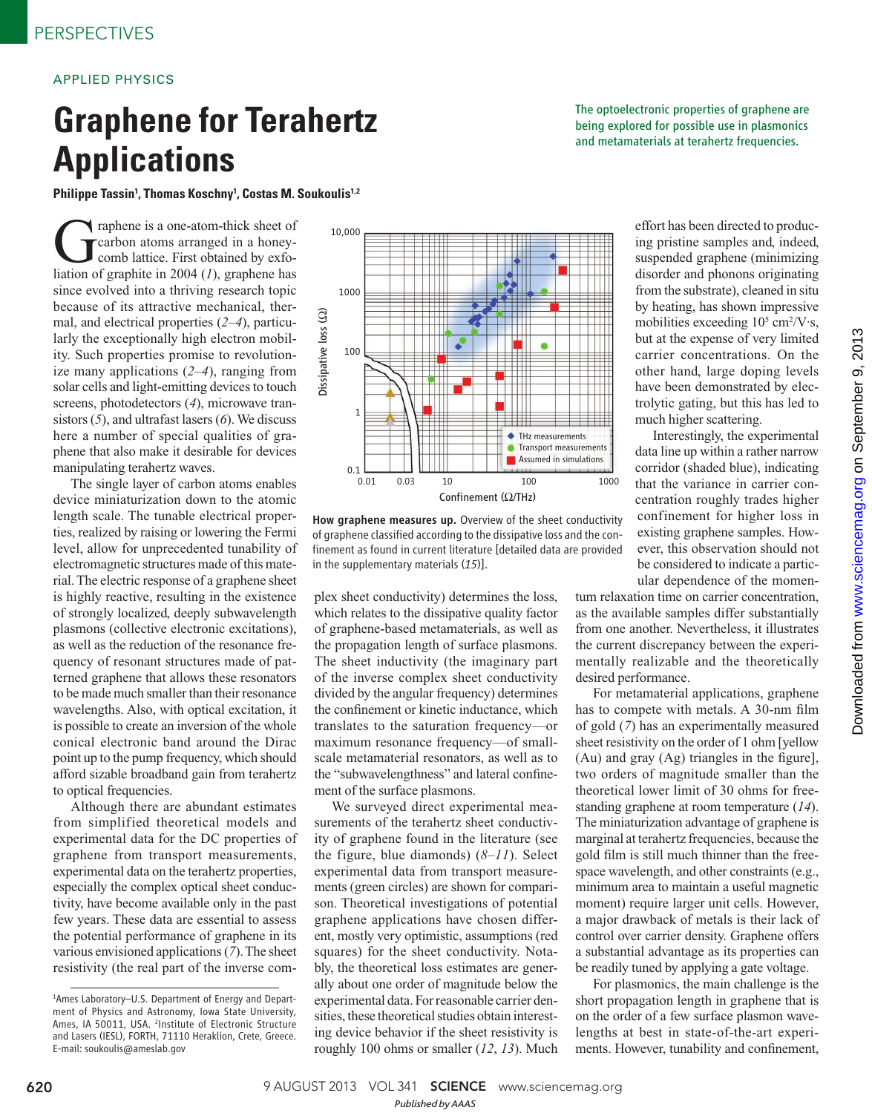## APPLIED PHYSICS

## **Graphene for Terahertz Applications**

Philippe Tassin<sup>1</sup>, Thomas Koschny<sup>1</sup>, Costas M. Soukoulis<sup>1,2</sup>

Traphene is a one-atom-thick sheet of<br>Crarbon atoms arranged in a honey-<br>comb lattice. First obtained by exfo-<br>liation of graphite in 2004 (1) graphene has carbon atoms arranged in a honeycomb lattice. First obtained by exfoliation of graphite in 2004  $(1)$ , graphene has since evolved into a thriving research topic because of its attractive mechanical, thermal, and electrical properties  $(2-4)$ , particularly the exceptionally high electron mobility. Such properties promise to revolutionize many applications  $(2-4)$ , ranging from solar cells and light-emitting devices to touch screens, photodetectors (4), microwave transistors  $(5)$ , and ultrafast lasers  $(6)$ . We discuss here a number of special qualities of graphene that also make it desirable for devices manipulating terahertz waves.

The single layer of carbon atoms enables device miniaturization down to the atomic length scale. The tunable electrical properties, realized by raising or lowering the Fermi level, allow for unprecedented tunability of electromagnetic structures made of this material. The electric response of a graphene sheet is highly reactive, resulting in the existence of strongly localized, deeply subwavelength plasmons (collective electronic excitations), as well as the reduction of the resonance frequency of resonant structures made of patterned graphene that allows these resonators to be made much smaller than their resonance wavelengths. Also, with optical excitation, it is possible to create an inversion of the whole conical electronic band around the Dirac point up to the pump frequency, which should afford sizable broadband gain from terahertz to optical frequencies.

Although there are abundant estimates from simplified theoretical models and experimental data for the DC properties of graphene from transport measurements, experimental data on the terahertz properties, especially the complex optical sheet conductivity, have become available only in the past few years. These data are essential to assess the potential performance of graphene in its various envisioned applications ( *7*). The sheet resistivity (the real part of the inverse com-



How graphene measures up. Overview of the sheet conductivity of graphene classified according to the dissipative loss and the confinement as found in current literature [detailed data are provided in the supplementary materials (15)].

plex sheet conductivity) determines the loss, which relates to the dissipative quality factor of graphene-based metamaterials, as well as the propagation length of surface plasmons. The sheet inductivity (the imaginary part of the inverse complex sheet conductivity divided by the angular frequency) determines the confinement or kinetic inductance, which translates to the saturation frequency—or maximum resonance frequency—of smallscale metamaterial resonators, as well as to the "subwavelengthness" and lateral confinement of the surface plasmons.

We surveyed direct experimental measurements of the terahertz sheet conductivity of graphene found in the literature (see the figure, blue diamonds)  $(8-11)$ . Select experimental data from transport measurements (green circles) are shown for comparison. Theoretical investigations of potential graphene applications have chosen different, mostly very optimistic, assumptions (red squares) for the sheet conductivity. Notably, the theoretical loss estimates are generally about one order of magnitude below the experimental data. For reasonable carrier densities, these theoretical studies obtain interesting device behavior if the sheet resistivity is roughly 100 ohms or smaller (12, 13). Much

The optoelectronic properties of graphene are being explored for possible use in plasmonics and metamaterials at terahertz frequencies.

> effort has been directed to producing pristine samples and, indeed, suspended graphene (minimizing disorder and phonons originating from the substrate), cleaned in situ by heating, has shown impressive mobilities exceeding  $10^5$  cm<sup>2</sup>/V·s, but at the expense of very limited carrier concentrations. On the other hand, large doping levels have been demonstrated by electrolytic gating, but this has led to much higher scattering.

> Interestingly, the experimental data line up within a rather narrow corridor (shaded blue), indicating that the variance in carrier concentration roughly trades higher confinement for higher loss in existing graphene samples. However, this observation should not be considered to indicate a particular dependence of the momen-

tum relaxation time on carrier concentration, as the available samples differ substantially from one another. Nevertheless, it illustrates the current discrepancy between the experimentally realizable and the theoretically desired performance.

For metamaterial applications, graphene has to compete with metals. A 30-nm film of gold ( *7*) has an experimentally measured sheet resistivity on the order of 1 ohm [yellow (Au) and gray  $(Ag)$  triangles in the figure], two orders of magnitude smaller than the theoretical lower limit of 30 ohms for freestanding graphene at room temperature ( *14*). The miniaturization advantage of graphene is marginal at terahertz frequencies, because the gold film is still much thinner than the freespace wavelength, and other constraints (e.g., minimum area to maintain a useful magnetic moment) require larger unit cells. However, a major drawback of metals is their lack of control over carrier density. Graphene offers a substantial advantage as its properties can be readily tuned by applying a gate voltage.

For plasmonics, the main challenge is the short propagation length in graphene that is on the order of a few surface plasmon wavelengths at best in state-of-the-art experiments. However, tunability and confinement,

<sup>1</sup>Ames Laboratory–U.S. Department of Energy and Department of Physics and Astronomy, Iowa State University, Ames, IA 50011, USA. <sup>2</sup>Institute of Electronic Structure and Lasers (IESL), FORTH, 71110 Heraklion, Crete, Greece. E-mail: soukoulis@ameslab.gov